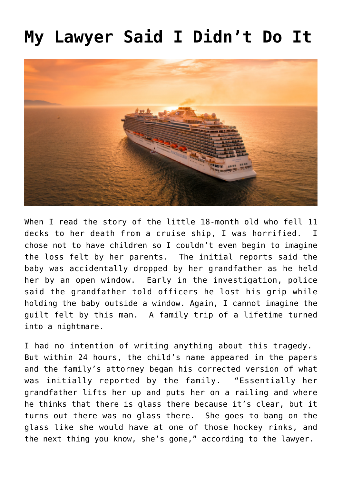## **[My Lawyer Said I Didn't Do It](https://bernardgoldberg.com/my-lawyer-said-i-didnt-do-it/)**



When I read the story of the little 18-month old who fell 11 decks to her death from a cruise ship, I was horrified. I chose not to have children so I couldn't even begin to imagine the loss felt by her parents. The initial reports said the baby was [accidentally dropped](https://news.yahoo.com/young-girl-falls-death-cruise-104046057.html?soc_src=hl-viewer&soc_trk=ma) by her grandfather as he held her by an open window. Early in the investigation, police said the grandfather told officers he lost his grip while holding the baby outside a window. Again, I cannot imagine the guilt felt by this man. A family trip of a lifetime turned into a nightmare.

I had no intention of writing anything about this tragedy. But within 24 hours, the child's name appeared in the papers and the family's attorney began his corrected [version](https://news.yahoo.com/chloe-wiegand-family-toddler-fell-192055740.html?soc_src=hl-viewer&soc_trk=ma) of what was initially reported by the family. "Essentially her grandfather lifts her up and puts her on a railing and where he thinks that there is glass there because it's clear, but it turns out there was no glass there. She goes to bang on the glass like she would have at one of those hockey rinks, and the next thing you know, she's gone," according to the lawyer.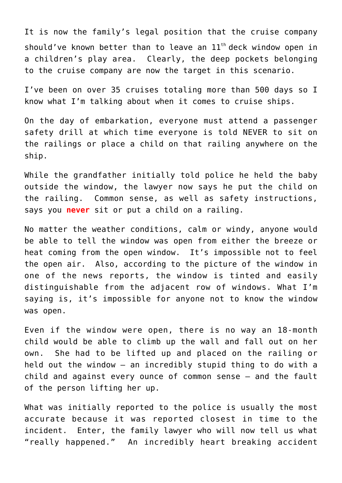It is now the family's legal position that the cruise company should've known better than to leave an  $11<sup>th</sup>$  deck window open in a children's play area. Clearly, the deep pockets belonging to the cruise company are now the target in this scenario.

I've been on over 35 cruises totaling more than 500 days so I know what I'm talking about when it comes to cruise ships.

On the day of embarkation, everyone must attend a passenger safety drill at which time everyone is told NEVER to sit on the railings or place a child on that railing anywhere on the ship.

While the grandfather initially told police he held the baby outside the window, the lawyer now says he put the child on the railing. Common sense, as well as safety instructions, says you **never** sit or put a child on a railing.

No matter the weather conditions, calm or windy, anyone would be able to tell the window was open from either the breeze or heat coming from the open window. It's impossible not to feel the open air. Also, according to the picture of the window in one of the news reports, the window is [tinted](https://www.news.com.au/world/north-america/family-of-toddler-who-fell-to-death-on-cruise-denies-grandfather-dropped-her/news-story/3a5176118cb8583be2c26fe26deeb833) and easily distinguishable from the adjacent row of windows. What I'm saying is, it's impossible for anyone not to know the window was open.

Even if the window were open, there is no way an 18-month child would be able to climb up the wall and fall out on her own. She had to be lifted up and placed on the railing or held out the window – an incredibly stupid thing to do with a child and against every ounce of common sense — and the fault of the person lifting her up.

What was initially reported to the police is usually the most accurate because it was reported closest in time to the incident. Enter, the family lawyer who will now tell us what "really happened." An incredibly heart breaking accident